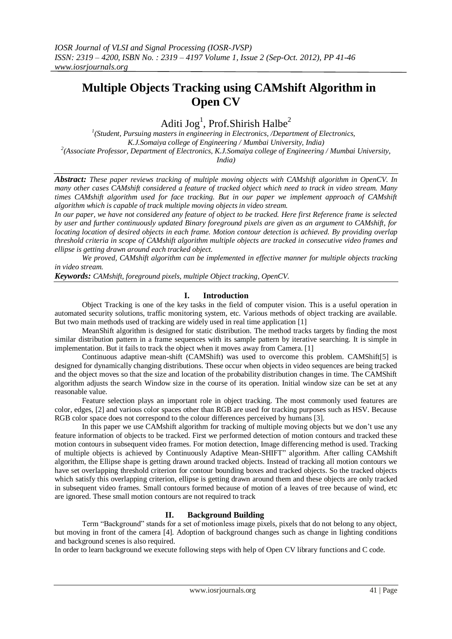# **Multiple Objects Tracking using CAMshift Algorithm in Open CV**

Aditi Jog $^{\rm l}$ , Prof.Shirish Halbe $^{\rm 2}$ 

 *1 (Student, Pursuing masters in engineering in Electronics, /Department of Electronics, K.J.Somaiya college of Engineering / Mumbai University, India) 2 (Associate Professor, Department of Electronics, K.J.Somaiya college of Engineering / Mumbai University, India)*

*Abstract: These paper reviews tracking of multiple moving objects with CAMshift algorithm in OpenCV. In many other cases CAMshift considered a feature of tracked object which need to track in video stream. Many times CAMshift algorithm used for face tracking. But in our paper we implement approach of CAMshift algorithm which is capable of track multiple moving objects in video stream.*

*In our paper, we have not considered any feature of object to be tracked. Here first Reference frame is selected by user and further continuously updated Binary foreground pixels are given as an argument to CAMshift, for locating location of desired objects in each frame. Motion contour detection is achieved. By providing overlap threshold criteria in scope of CAMshift algorithm multiple objects are tracked in consecutive video frames and ellipse is getting drawn around each tracked object.*

*We proved, CAMshift algorithm can be implemented in effective manner for multiple objects tracking in video stream.*

*Keywords: CAMshift, foreground pixels, multiple Object tracking, OpenCV.*

### **I. Introduction**

Object Tracking is one of the key tasks in the field of computer vision. This is a useful operation in automated security solutions, traffic monitoring system, etc. Various methods of object tracking are available. But two main methods used of tracking are widely used in real time application [1]

MeanShift algorithm is designed for static distribution. The method tracks targets by finding the most similar distribution pattern in a frame sequences with its sample pattern by iterative searching. It is simple in implementation. But it fails to track the object when it moves away from Camera. [1]

Continuous adaptive mean-shift (CAMShift) was used to overcome this problem. CAMShift[5] is designed for dynamically changing distributions. These occur when objects in video sequences are being tracked and the object moves so that the size and location of the probability distribution changes in time. The CAMShift algorithm adjusts the search Window size in the course of its operation. Initial window size can be set at any reasonable value.

Feature selection plays an important role in object tracking. The most commonly used features are color, edges, [2] and various color spaces other than RGB are used for tracking purposes such as HSV. Because RGB color space does not correspond to the colour differences perceived by humans [3].

In this paper we use CAMshift algorithm for tracking of multiple moving objects but we don"t use any feature information of objects to be tracked. First we performed detection of motion contours and tracked these motion contours in subsequent video frames. For motion detection, Image differencing method is used. Tracking of multiple objects is achieved by Continuously Adaptive Mean-SHIFT" algorithm. After calling CAMshift algorithm, the Ellipse shape is getting drawn around tracked objects. Instead of tracking all motion contours we have set overlapping threshold criterion for contour bounding boxes and tracked objects. So the tracked objects which satisfy this overlapping criterion, ellipse is getting drawn around them and these objects are only tracked in subsequent video frames. Small contours formed because of motion of a leaves of tree because of wind, etc are ignored. These small motion contours are not required to track

## **II. Background Building**

Term "Background" stands for a set of motionless image pixels, pixels that do not belong to any object, but moving in front of the camera [4]. Adoption of background changes such as change in lighting conditions and background scenes is also required.

In order to learn background we execute following steps with help of Open CV library functions and C code.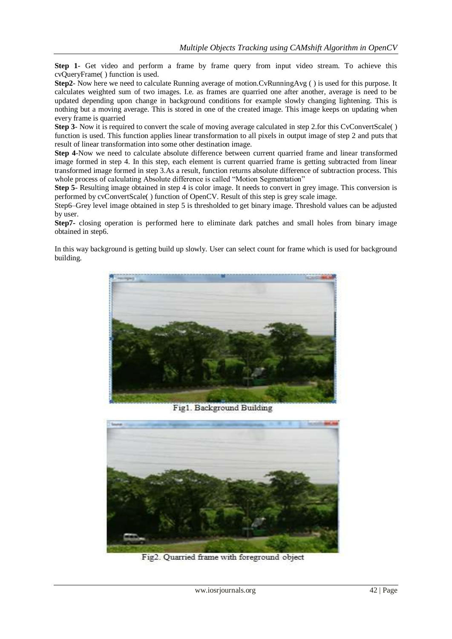**Step 1**- Get video and perform a frame by frame query from input video stream. To achieve this cvQueryFrame( ) function is used.

**Step2**- Now here we need to calculate Running average of motion.CvRunningAvg () is used for this purpose. It calculates weighted sum of two images. I.e. as frames are quarried one after another, average is need to be updated depending upon change in background conditions for example slowly changing lightening. This is nothing but a moving average. This is stored in one of the created image. This image keeps on updating when every frame is quarried

**Step 3**- Now it is required to convert the scale of moving average calculated in step 2.for this CvConvertScale() function is used. This function applies linear transformation to all pixels in output image of step 2 and puts that result of linear transformation into some other destination image.

**Step 4**-Now we need to calculate absolute difference between current quarried frame and linear transformed image formed in step 4. In this step, each element is current quarried frame is getting subtracted from linear transformed image formed in step 3.As a result, function returns absolute difference of subtraction process. This whole process of calculating Absolute difference is called "Motion Segmentation"

**Step 5**- Resulting image obtained in step 4 is color image. It needs to convert in grey image. This conversion is performed by cvConvertScale( ) function of OpenCV. Result of this step is grey scale image.

Step6–Grey level image obtained in step 5 is thresholded to get binary image. Threshold values can be adjusted by user.

**Step7-** closing operation is performed here to eliminate dark patches and small holes from binary image obtained in step6.

In this way background is getting build up slowly. User can select count for frame which is used for background building.



Fig1. Background Building



Fig2. Quarried frame with foreground object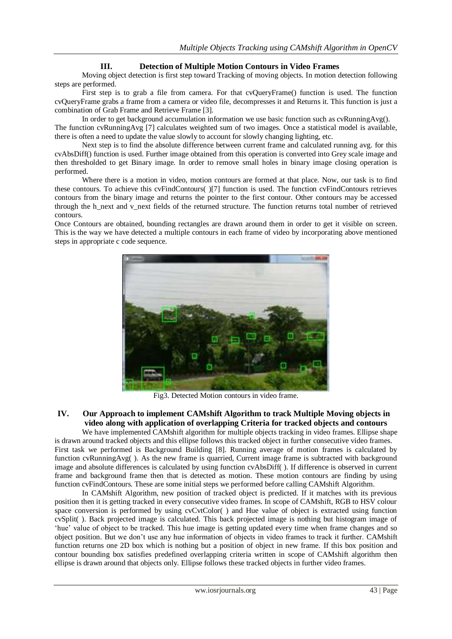## **III. Detection of Multiple Motion Contours in Video Frames**

Moving object detection is first step toward Tracking of moving objects. In motion detection following steps are performed.

First step is to grab a file from camera. For that cvQueryFrame() function is used. The function cvQueryFrame grabs a frame from a camera or video file, decompresses it and Returns it. This function is just a combination of Grab Frame and Retrieve Frame [3].

In order to get background accumulation information we use basic function such as cvRunningAvg(). The function cvRunningAvg [7] calculates weighted sum of two images. Once a statistical model is available,

there is often a need to update the value slowly to account for slowly changing lighting, etc.

Next step is to find the absolute difference between current frame and calculated running avg. for this cvAbsDiff() function is used. Further image obtained from this operation is converted into Grey scale image and then thresholded to get Binary image. In order to remove small holes in binary image closing operation is performed.

Where there is a motion in video, motion contours are formed at that place. Now, our task is to find these contours. To achieve this cvFindContours( )[7] function is used. The function cvFindContours retrieves contours from the binary image and returns the pointer to the first contour. Other contours may be accessed through the h\_next and v\_next fields of the returned structure. The function returns total number of retrieved contours.

Once Contours are obtained, bounding rectangles are drawn around them in order to get it visible on screen. This is the way we have detected a multiple contours in each frame of video by incorporating above mentioned steps in appropriate c code sequence.



Fig3. Detected Motion contours in video frame.

## **IV. Our Approach to implement CAMshift Algorithm to track Multiple Moving objects in video along with application of overlapping Criteria for tracked objects and contours**

We have implemented CAMshift algorithm for multiple objects tracking in video frames. Ellipse shape is drawn around tracked objects and this ellipse follows this tracked object in further consecutive video frames. First task we performed is Background Building [8]. Running average of motion frames is calculated by function cvRunningAvg(). As the new frame is quarried, Current image frame is subtracted with background image and absolute differences is calculated by using function cvAbsDiff( ). If difference is observed in current frame and background frame then that is detected as motion. These motion contours are finding by using function cvFindContours. These are some initial steps we performed before calling CAMshift Algorithm.

In CAMshift Algorithm, new position of tracked object is predicted. If it matches with its previous position then it is getting tracked in every consecutive video frames. In scope of CAMshift, RGB to HSV colour space conversion is performed by using cvCvtColor( ) and Hue value of object is extracted using function cvSplit( ). Back projected image is calculated. This back projected image is nothing but histogram image of "hue" value of object to be tracked. This hue image is getting updated every time when frame changes and so object position. But we don"t use any hue information of objects in video frames to track it further. CAMshift function returns one 2D box which is nothing but a position of object in new frame. If this box position and contour bounding box satisfies predefined overlapping criteria written in scope of CAMshift algorithm then ellipse is drawn around that objects only. Ellipse follows these tracked objects in further video frames.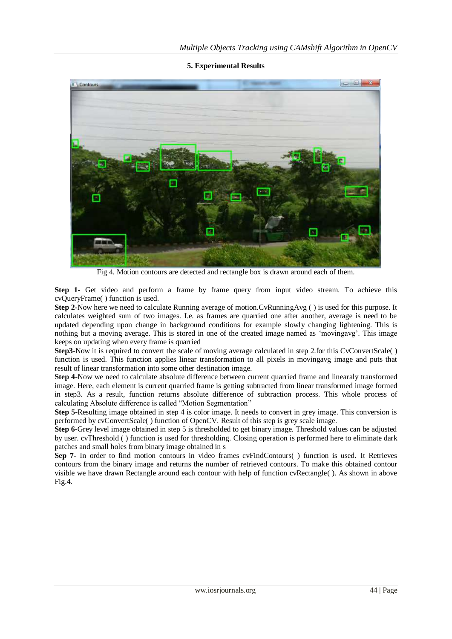**5. Experimental Results**



Fig 4. Motion contours are detected and rectangle box is drawn around each of them.

**Step 1-** Get video and perform a frame by frame query from input video stream. To achieve this cvQueryFrame( ) function is used.

**Step 2-**Now here we need to calculate Running average of motion.CvRunningAvg () is used for this purpose. It calculates weighted sum of two images. I.e. as frames are quarried one after another, average is need to be updated depending upon change in background conditions for example slowly changing lightening. This is nothing but a moving average. This is stored in one of the created image named as "movingavg". This image keeps on updating when every frame is quarried

**Step3-**Now it is required to convert the scale of moving average calculated in step 2.for this CvConvertScale( ) function is used. This function applies linear transformation to all pixels in movingavg image and puts that result of linear transformation into some other destination image.

**Step 4-Now we need to calculate absolute difference between current quarried frame and linearaly transformed** image. Here, each element is current quarried frame is getting subtracted from linear transformed image formed in step3. As a result, function returns absolute difference of subtraction process. This whole process of calculating Absolute difference is called "Motion Segmentation"

**Step 5-**Resulting image obtained in step 4 is color image. It needs to convert in grey image. This conversion is performed by cvConvertScale( ) function of OpenCV. Result of this step is grey scale image.

**Step 6-**Grey level image obtained in step 5 is thresholded to get binary image. Threshold values can be adjusted by user. cvThreshold ( ) function is used for thresholding. Closing operation is performed here to eliminate dark patches and small holes from binary image obtained in s

**Sep 7-** In order to find motion contours in video frames cvFindContours( ) function is used. It Retrieves contours from the binary image and returns the number of retrieved contours. To make this obtained contour visible we have drawn Rectangle around each contour with help of function cvRectangle( ). As shown in above Fig.4.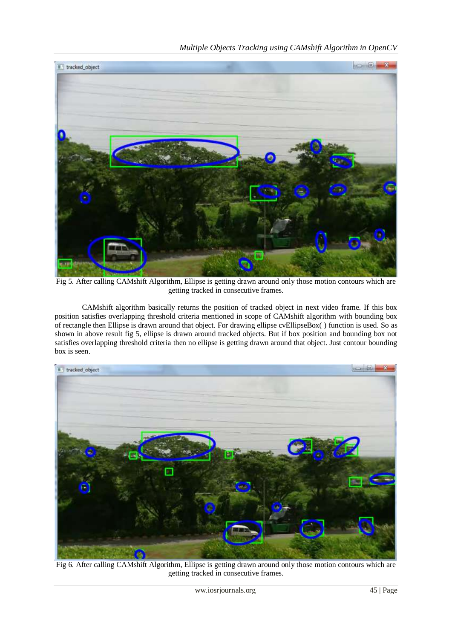

Fig 5. After calling CAMshift Algorithm, Ellipse is getting drawn around only those motion contours which are getting tracked in consecutive frames.

CAMshift algorithm basically returns the position of tracked object in next video frame. If this box position satisfies overlapping threshold criteria mentioned in scope of CAMshift algorithm with bounding box of rectangle then Ellipse is drawn around that object. For drawing ellipse cvEllipseBox( ) function is used. So as shown in above result fig 5, ellipse is drawn around tracked objects. But if box position and bounding box not satisfies overlapping threshold criteria then no ellipse is getting drawn around that object. Just contour bounding box is seen.



Fig 6. After calling CAMshift Algorithm, Ellipse is getting drawn around only those motion contours which are getting tracked in consecutive frames.